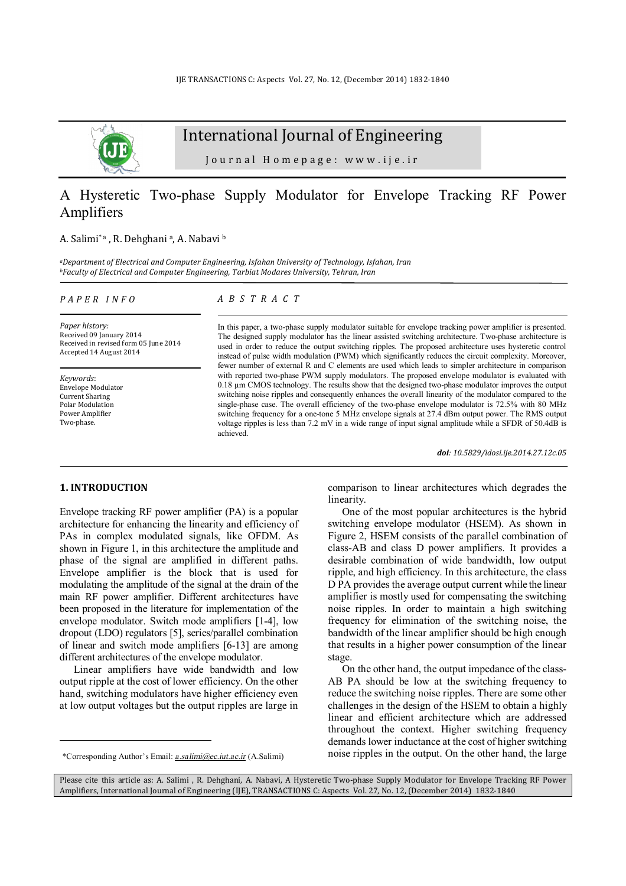

# International Journal of Engineering

Journal Homepage: www.ije.ir

## A Hysteretic Two-phase Supply Modulator for Envelope Tracking RF Power Amplifiers

#### A. Salimi\*a, R. Dehghania, A. Nabavi b

*<sup>a</sup>Department of Electrical and Computer Engineering, Isfahan University of Technology, Isfahan, Iran <sup>b</sup>Faculty of Electrical and Computer Engineering, Tarbiat Modares University, Tehran, Iran* 

#### *P A P E R I N F O*

*Paper history:*  Received 09 January 2014 Received in revised form 05 June 2014 Accepted 14 August 2014

*Keywords*: Envelope Modulator Current Sharing Polar Modulation Power Amplifier Two-phase.

#### *A B S T R A C T*

In this paper, a two-phase supply modulator suitable for envelope tracking power amplifier is presented. The designed supply modulator has the linear assisted switching architecture. Two-phase architecture is used in order to reduce the output switching ripples. The proposed architecture uses hysteretic control instead of pulse width modulation (PWM) which significantly reduces the circuit complexity. Moreover, fewer number of external R and C elements are used which leads to simpler architecture in comparison with reported two-phase PWM supply modulators. The proposed envelope modulator is evaluated with 0.18 µm CMOS technology. The results show that the designed two-phase modulator improves the output switching noise ripples and consequently enhances the overall linearity of the modulator compared to the single-phase case. The overall efficiency of the two-phase envelope modulator is 72.5% with 80 MHz switching frequency for a one-tone 5 MHz envelope signals at 27.4 dBm output power. The RMS output voltage ripples is less than 7.2 mV in a wide range of input signal amplitude while a SFDR of 50.4dB is achieved.

*doi: 10.5829/idosi.ije.2014.27.12c.05*

## **1. INTRODUCTION<sup>1</sup>**

l

Envelope tracking RF power amplifier (PA) is a popular architecture for enhancing the linearity and efficiency of PAs in complex modulated signals, like OFDM. As shown in Figure 1, in this architecture the amplitude and phase of the signal are amplified in different paths. Envelope amplifier is the block that is used for modulating the amplitude of the signal at the drain of the main RF power amplifier. Different architectures have been proposed in the literature for implementation of the envelope modulator. Switch mode amplifiers [1-4], low dropout (LDO) regulators [5], series/parallel combination of linear and switch mode amplifiers [6-13] are among different architectures of the envelope modulator.

Linear amplifiers have wide bandwidth and low output ripple at the cost of lower efficiency. On the other hand, switching modulators have higher efficiency even at low output voltages but the output ripples are large in

1 \*Corresponding Author's Email: *[a.salimi@ec.iut.ac.ir](mailto:a.salimi@ec.iut.ac.ir)* (A.Salimi)

comparison to linear architectures which degrades the linearity.

One of the most popular architectures is the hybrid switching envelope modulator (HSEM). As shown in Figure 2, HSEM consists of the parallel combination of class-AB and class D power amplifiers. It provides a desirable combination of wide bandwidth, low output ripple, and high efficiency. In this architecture, the class D PA provides the average output current while the linear amplifier is mostly used for compensating the switching noise ripples. In order to maintain a high switching frequency for elimination of the switching noise, the bandwidth of the linear amplifier should be high enough that results in a higher power consumption of the linear stage.

On the other hand, the output impedance of the class-AB PA should be low at the switching frequency to reduce the switching noise ripples. There are some other challenges in the design of the HSEM to obtain a highly linear and efficient architecture which are addressed throughout the context. Higher switching frequency demands lower inductance at the cost of higher switching noise ripples in the output. On the other hand, the large

Please cite this article as: A. Salimi , R. Dehghani, A. Nabavi, A Hysteretic Two-phase Supply Modulator for Envelope Tracking RF Power Amplifiers, International Journal of Engineering (IJE), TRANSACTIONS C: Aspects Vol. 27, No. 12, (December 2014) 1832-1840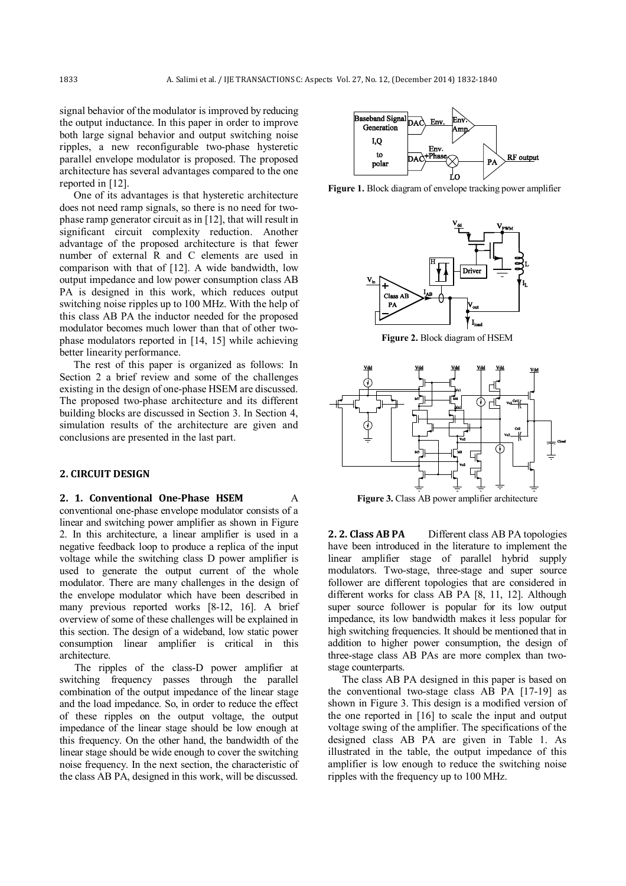signal behavior of the modulator is improved by reducing the output inductance. In this paper in order to improve both large signal behavior and output switching noise ripples, a new reconfigurable two-phase hysteretic parallel envelope modulator is proposed. The proposed architecture has several advantages compared to the one reported in [12].

One of its advantages is that hysteretic architecture does not need ramp signals, so there is no need for twophase ramp generator circuit as in [12], that will result in significant circuit complexity reduction. Another advantage of the proposed architecture is that fewer number of external R and C elements are used in comparison with that of [12]. A wide bandwidth, low output impedance and low power consumption class AB PA is designed in this work, which reduces output switching noise ripples up to 100 MHz. With the help of this class AB PA the inductor needed for the proposed modulator becomes much lower than that of other twophase modulators reported in [14, 15] while achieving better linearity performance.

The rest of this paper is organized as follows: In Section 2 a brief review and some of the challenges existing in the design of one-phase HSEM are discussed. The proposed two-phase architecture and its different building blocks are discussed in Section 3. In Section 4, simulation results of the architecture are given and conclusions are presented in the last part.

#### **2. CIRCUIT DESIGN**

## **2. 1. Conventional One-Phase HSEM** A

conventional one-phase envelope modulator consists of a linear and switching power amplifier as shown in Figure 2. In this architecture, a linear amplifier is used in a negative feedback loop to produce a replica of the input voltage while the switching class D power amplifier is used to generate the output current of the whole modulator. There are many challenges in the design of the envelope modulator which have been described in many previous reported works [8-12, 16]. A brief overview of some of these challenges will be explained in this section. The design of a wideband, low static power consumption linear amplifier is critical in this architecture.

The ripples of the class-D power amplifier at switching frequency passes through the parallel combination of the output impedance of the linear stage and the load impedance. So, in order to reduce the effect of these ripples on the output voltage, the output impedance of the linear stage should be low enough at this frequency. On the other hand, the bandwidth of the linear stage should be wide enough to cover the switching noise frequency. In the next section, the characteristic of the class AB PA, designed in this work, will be discussed.



**Figure 1.** Block diagram of envelope tracking power amplifier



**Figure 2.** Block diagram of HSEM



**Figure 3.** Class AB power amplifier architecture

**2. 2. Class AB PA** Different class AB PA topologies have been introduced in the literature to implement the linear amplifier stage of parallel hybrid supply modulators. Two-stage, three-stage and super source follower are different topologies that are considered in different works for class AB PA [8, 11, 12]. Although super source follower is popular for its low output impedance, its low bandwidth makes it less popular for high switching frequencies. It should be mentioned that in addition to higher power consumption, the design of three-stage class AB PAs are more complex than twostage counterparts.

The class AB PA designed in this paper is based on the conventional two-stage class AB PA [17-19] as shown in Figure 3. This design is a modified version of the one reported in [16] to scale the input and output voltage swing of the amplifier. The specifications of the designed class AB PA are given in Table 1. As illustrated in the table, the output impedance of this amplifier is low enough to reduce the switching noise ripples with the frequency up to 100 MHz.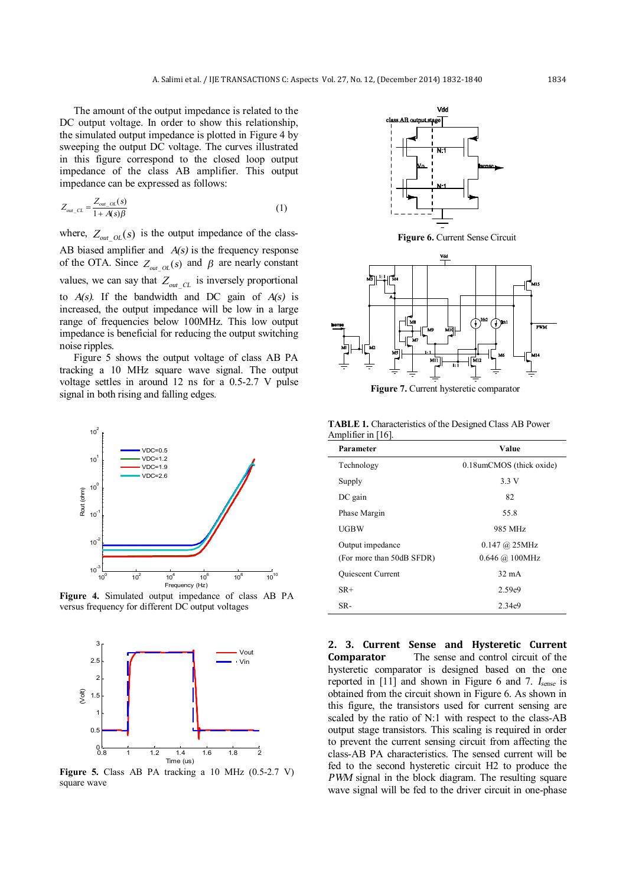The amount of the output impedance is related to the DC output voltage. In order to show this relationship, the simulated output impedance is plotted in Figure 4 by sweeping the output DC voltage. The curves illustrated in this figure correspond to the closed loop output impedance of the class AB amplifier. This output impedance can be expressed as follows:

$$
Z_{out\_CL} = \frac{Z_{out\_OL}(s)}{1 + A(s)\beta} \tag{1}
$$

where,  $Z_{out\_OL}(s)$  is the output impedance of the class-AB biased amplifier and *A(s)* is the frequency response of the OTA. Since  $Z_{out\_OL}(s)$  and  $\beta$  are nearly constant values, we can say that  $Z_{out}$   $_{CL}$  is inversely proportional to *A(s)*. If the bandwidth and DC gain of *A(s)* is increased, the output impedance will be low in a large range of frequencies below 100MHz. This low output impedance is beneficial for reducing the output switching noise ripples.

Figure 5 shows the output voltage of class AB PA tracking a 10 MHz square wave signal. The output voltage settles in around 12 ns for a 0.5-2.7 V pulse signal in both rising and falling edges.



**Figure 4.** Simulated output impedance of class AB PA versus frequency for different DC output voltages



**Figure 5.** Class AB PA tracking a 10 MHz (0.5-2.7 V) square wave





**Figure 7.** Current hysteretic comparator

**TABLE 1.** Characteristics of the Designed Class AB Power Amplifier in [16].

| 0.18umCMOS (thick oxide)<br>Technology                |  |
|-------------------------------------------------------|--|
| 3.3 V<br>Supply                                       |  |
| 82<br>$DC$ gain                                       |  |
| Phase Margin<br>55.8                                  |  |
| UGBW<br>985 MHz                                       |  |
| Output impedance<br>$0.147 \ (\hat{a}) 25 \text{MHz}$ |  |
| (For more than 50dB SFDR)<br>$0.646$ @ 100MHz         |  |
| $32 \text{ mA}$<br><b>Quiescent Current</b>           |  |
| $SR+$<br>2.59e9                                       |  |
| SR-<br>2.34e9                                         |  |

**2. 3. Current Sense and Hysteretic Current Comparator** The sense and control circuit of the hysteretic comparator is designed based on the one reported in [11] and shown in Figure 6 and 7. *<sup>I</sup>sense* is obtained from the circuit shown in Figure 6. As shown in this figure, the transistors used for current sensing are scaled by the ratio of N:1 with respect to the class-AB output stage transistors. This scaling is required in order to prevent the current sensing circuit from affecting the class-AB PA characteristics. The sensed current will be fed to the second hysteretic circuit H2 to produce the *PWM* signal in the block diagram. The resulting square wave signal will be fed to the driver circuit in one-phase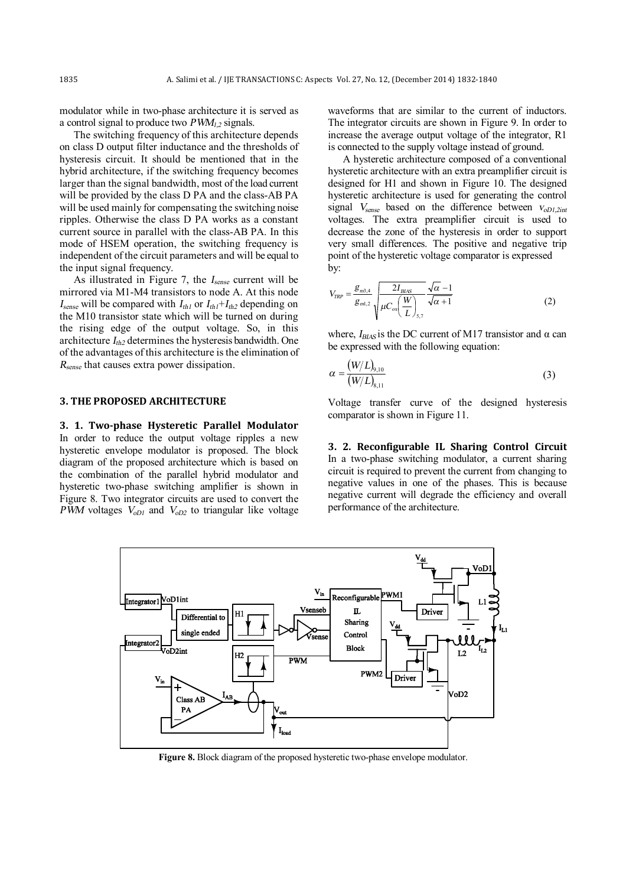modulator while in two-phase architecture it is served as a control signal to produce two *PWM1,2* signals.

The switching frequency of this architecture depends on class D output filter inductance and the thresholds of hysteresis circuit. It should be mentioned that in the hybrid architecture, if the switching frequency becomes larger than the signal bandwidth, most of the load current will be provided by the class D PA and the class-AB PA will be used mainly for compensating the switching noise ripples. Otherwise the class D PA works as a constant current source in parallel with the class-AB PA. In this mode of HSEM operation, the switching frequency is independent of the circuit parameters and will be equal to the input signal frequency.

As illustrated in Figure 7, the *<sup>I</sup>sense* current will be mirrored via M1-M4 transistors to node A. At this node  $I_{\text{sense}}$  will be compared with  $I_{th1}$  or  $I_{th1} + I_{th2}$  depending on the M10 transistor state which will be turned on during the rising edge of the output voltage. So, in this architecture *<sup>I</sup>th2* determines the hysteresis bandwidth. One of the advantages of this architecture is the elimination of *Rsense* that causes extra power dissipation.

### **3. THE PROPOSED ARCHITECTURE**

**3. 1. Two-phase Hysteretic Parallel Modulator** In order to reduce the output voltage ripples a new hysteretic envelope modulator is proposed. The block diagram of the proposed architecture which is based on the combination of the parallel hybrid modulator and hysteretic two-phase switching amplifier is shown in Figure 8. Two integrator circuits are used to convert the *PWM* voltages  $V_{oD1}$  and  $V_{oD2}$  to triangular like voltage waveforms that are similar to the current of inductors. The integrator circuits are shown in Figure 9. In order to increase the average output voltage of the integrator, R1 is connected to the supply voltage instead of ground.

A hysteretic architecture composed of a conventional hysteretic architecture with an extra preamplifier circuit is designed for H1 and shown in Figure 10. The designed hysteretic architecture is used for generating the control signal *<sup>V</sup>sense* based on the difference between *<sup>v</sup>oD1,2int* voltages. The extra preamplifier circuit is used to decrease the zone of the hysteresis in order to support very small differences. The positive and negative trip point of the hysteretic voltage comparator is expressed by:

$$
V_{TRP} = \frac{g_{m3,4}}{g_{m1,2}} \sqrt{\frac{2I_{BIAS}}{\mu C_{ox}(\frac{W}{L})_{5,7}}} \frac{\sqrt{\alpha - 1}}{\sqrt{\alpha + 1}}
$$
(2)

where,  $I_{BIAS}$  is the DC current of M17 transistor and  $\alpha$  can be expressed with the following equation:

$$
\alpha = \frac{(W/L)_{9,10}}{(W/L)_{8,11}}\tag{3}
$$

Voltage transfer curve of the designed hysteresis comparator is shown in Figure 11.

**3. 2. Recon igurable IL Sharing Control Circuit**  In a two-phase switching modulator, a current sharing circuit is required to prevent the current from changing to negative values in one of the phases. This is because negative current will degrade the efficiency and overall performance of the architecture.



**Figure 8.** Block diagram of the proposed hysteretic two-phase envelope modulator.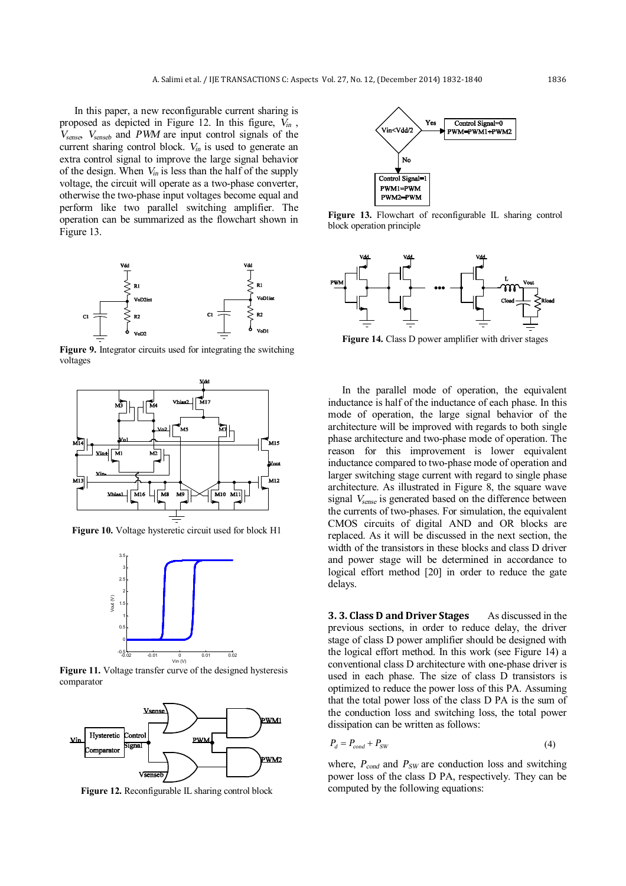In this paper, a new reconfigurable current sharing is proposed as depicted in Figure 12. In this figure, *<sup>V</sup>in* , *Vsense* , *<sup>V</sup>senseb* and *PWM* are input control signals of the current sharing control block. *<sup>V</sup>in* is used to generate an extra control signal to improve the large signal behavior of the design. When  $V_{in}$  is less than the half of the supply voltage, the circuit will operate as a two-phase converter, otherwise the two-phase input voltages become equal and perform like two parallel switching amplifier. The operation can be summarized as the flowchart shown in Figure 13.



**Figure 9.** Integrator circuits used for integrating the switching voltages



**Figure 10.** Voltage hysteretic circuit used for block H1



**Figure 11.** Voltage transfer curve of the designed hysteresis comparator



**Figure 12.** Reconfigurable IL sharing control block



**Figure 13.** Flowchart of reconfigurable IL sharing control block operation principle



**Figure 14.** Class D power amplifier with driver stages

In the parallel mode of operation, the equivalent inductance is half of the inductance of each phase. In this mode of operation, the large signal behavior of the architecture will be improved with regards to both single phase architecture and two-phase mode of operation. The reason for this improvement is lower equivalent inductance compared to two-phase mode of operation and larger switching stage current with regard to single phase architecture. As illustrated in Figure 8, the square wave signal *<sup>V</sup>sense* is generated based on the difference between the currents of two-phases. For simulation, the equivalent CMOS circuits of digital AND and OR blocks are replaced. As it will be discussed in the next section, the width of the transistors in these blocks and class D driver and power stage will be determined in accordance to logical effort method [20] in order to reduce the gate delays.

**3. 3. Class D and Driver Stages** As discussed in the previous sections, in order to reduce delay, the driver stage of class D power amplifier should be designed with the logical effort method. In this work (see Figure 14) a conventional class D architecture with one-phase driver is used in each phase. The size of class D transistors is optimized to reduce the power loss of this PA. Assuming that the total power loss of the class D PA is the sum of the conduction loss and switching loss, the total power dissipation can be written as follows:

$$
P_d = P_{cond} + P_{SW} \tag{4}
$$

where, *<sup>P</sup>cond* and *<sup>P</sup>SW* are conduction loss and switching power loss of the class D PA, respectively. They can be computed by the following equations: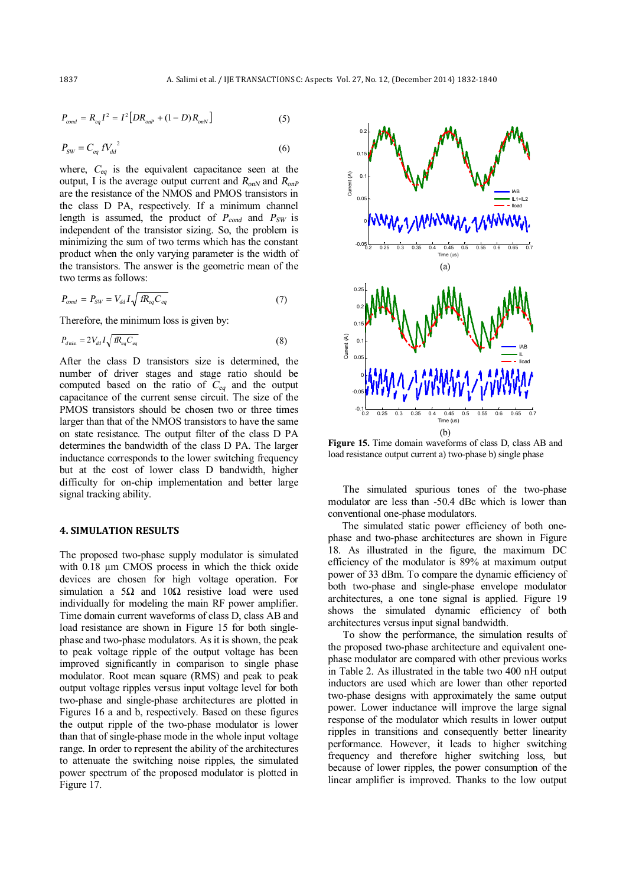$$
P_{cond} = R_{eq}I^2 = I^2[DR_{onP} + (1 - D)R_{onN}]
$$
\n(5)

$$
P_{SW} = C_{eq} f V_{dd}^2 \tag{6}
$$

where, *<sup>C</sup>eq* is the equivalent capacitance seen at the output, I is the average output current and  $R_{onN}$  and  $R_{onP}$ are the resistance of the NMOS and PMOS transistors in the class D PA, respectively. If a minimum channel length is assumed, the product of *<sup>P</sup>cond* and *<sup>P</sup>SW* is independent of the transistor sizing. So, the problem is minimizing the sum of two terms which has the constant product when the only varying parameter is the width of the transistors. The answer is the geometric mean of the two terms as follows:

$$
P_{cond} = P_{SW} = V_{dd} I \sqrt{f R_{eq} C_{eq}} \tag{7}
$$

Therefore, the minimum loss is given by:

$$
P_{d\min} = 2V_{dd}I\sqrt{R_{eq}C_{eq}}\tag{8}
$$

After the class D transistors size is determined, the number of driver stages and stage ratio should be computed based on the ratio of *<sup>C</sup>eq* and the output capacitance of the current sense circuit. The size of the PMOS transistors should be chosen two or three times larger than that of the NMOS transistors to have the same on state resistance. The output filter of the class D PA determines the bandwidth of the class D PA. The larger inductance corresponds to the lower switching frequency but at the cost of lower class D bandwidth, higher difficulty for on-chip implementation and better large signal tracking ability.

#### **4. SIMULATION RESULTS**

The proposed two-phase supply modulator is simulated with 0.18  $\mu$ m CMOS process in which the thick oxide devices are chosen for high voltage operation. For simulation a 5Ω and  $10Ω$  resistive load were used individually for modeling the main RF power amplifier. Time domain current waveforms of class D, class AB and load resistance are shown in Figure 15 for both singlephase and two-phase modulators. As it is shown, the peak to peak voltage ripple of the output voltage has been improved significantly in comparison to single phase modulator. Root mean square (RMS) and peak to peak output voltage ripples versus input voltage level for both two-phase and single-phase architectures are plotted in Figures 16 a and b, respectively. Based on these figures the output ripple of the two-phase modulator is lower than that of single-phase mode in the whole input voltage range. In order to represent the ability of the architectures to attenuate the switching noise ripples, the simulated power spectrum of the proposed modulator is plotted in Figure 17.



**Figure 15.** Time domain waveforms of class D, class AB and load resistance output current a) two-phase b) single phase

The simulated spurious tones of the two-phase modulator are less than -50.4 dBc which is lower than conventional one-phase modulators.

The simulated static power efficiency of both onephase and two-phase architectures are shown in Figure 18. As illustrated in the figure, the maximum DC efficiency of the modulator is 89% at maximum output power of 33 dBm. To compare the dynamic efficiency of both two-phase and single-phase envelope modulator architectures, a one tone signal is applied. Figure 19 shows the simulated dynamic efficiency of both architectures versus input signal bandwidth.

To show the performance, the simulation results of the proposed two-phase architecture and equivalent onephase modulator are compared with other previous works in Table 2. As illustrated in the table two 400 nH output inductors are used which are lower than other reported two-phase designs with approximately the same output power. Lower inductance will improve the large signal response of the modulator which results in lower output ripples in transitions and consequently better linearity performance. However, it leads to higher switching frequency and therefore higher switching loss, but because of lower ripples, the power consumption of the linear amplifier is improved. Thanks to the low output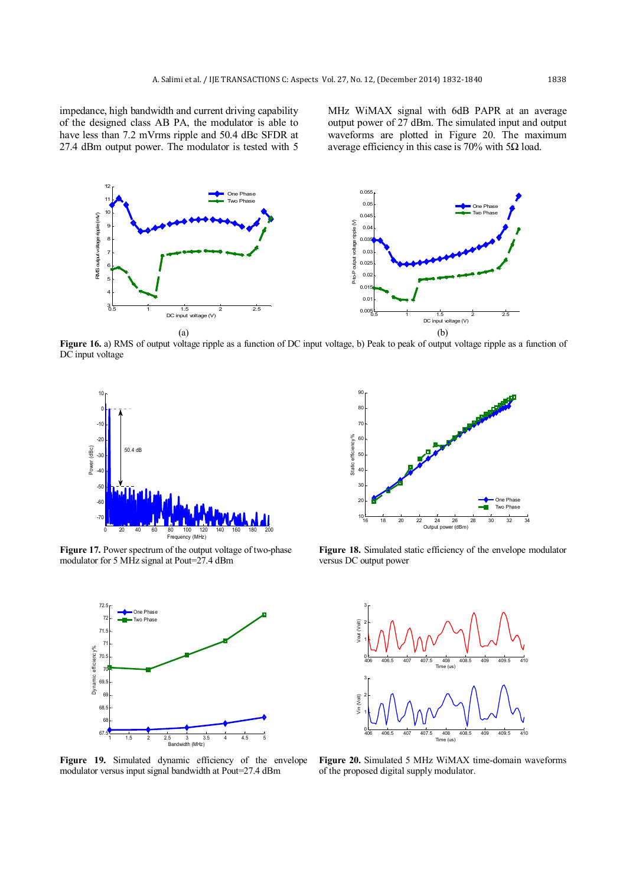impedance, high bandwidth and current driving capability of the designed class AB PA, the modulator is able to have less than 7.2 mVrms ripple and 50.4 dBc SFDR at 27.4 dBm output power. The modulator is tested with 5

MHz WiMAX signal with 6dB PAPR at an average output power of 27 dBm. The simulated input and output waveforms are plotted in Figure 20. The maximum average efficiency in this case is 70% with 5Ω load.



**Figure 16.** a) RMS of output voltage ripple as a function of DC input voltage, b) Peak to peak of output voltage ripple as a function of DC input voltage

90



**Figure 17.** Power spectrum of the output voltage of two-phase modulator for 5 MHz signal at Pout=27.4 dBm



16 18 20 22 24 26 28 30 32 34 Output power (dBm) 10  $\overline{2}$ 30 40 50  $60$ 70 80 Static efficiency% One Phase Two Phase

**Figure 18.** Simulated static efficiency of the envelope modulator versus DC output power



**Figure 19.** Simulated dynamic efficiency of the envelope modulator versus input signal bandwidth at Pout=27.4 dBm

**Figure 20.** Simulated 5 MHz WiMAX time-domain waveforms of the proposed digital supply modulator.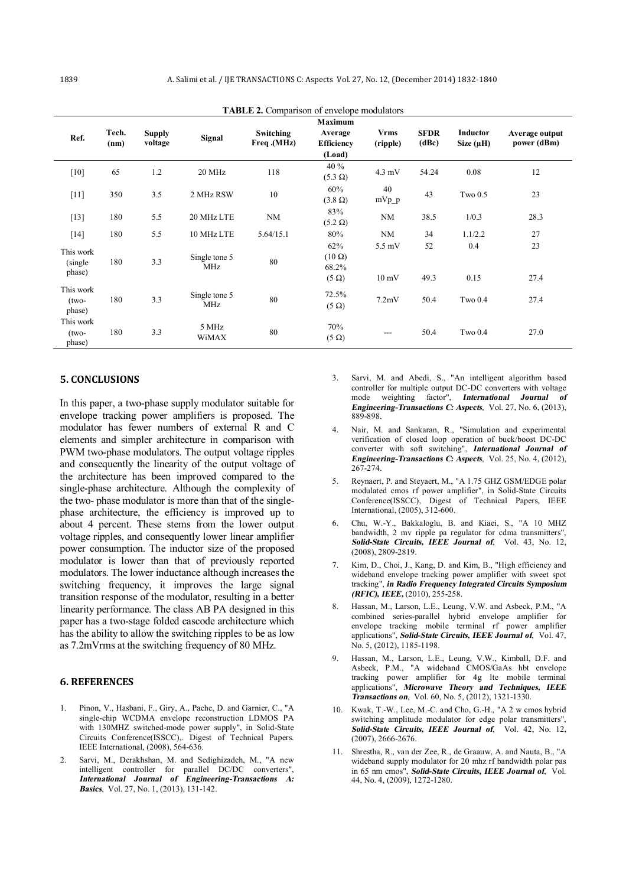| Ref.                            | Tech.<br>(nm) | <b>Supply</b><br>voltage | Signal                      | Switching<br>Freq.(MHz) | <b>Maximum</b><br>Average<br><b>Efficiency</b><br>(Load) | <b>Vrms</b><br>(ripple)   | <b>SFDR</b><br>(dBc) | Inductor<br>Size $(\mu H)$ | Average output<br>power (dBm) |
|---------------------------------|---------------|--------------------------|-----------------------------|-------------------------|----------------------------------------------------------|---------------------------|----------------------|----------------------------|-------------------------------|
| [10]                            | 65            | 1.2                      | 20 MHz                      | 118                     | 40 %<br>$(5.3 \Omega)$                                   | $4.3 \text{ mV}$          | 54.24                | 0.08                       | 12                            |
| [11]                            | 350           | 3.5                      | 2 MHz RSW                   | 10                      | 60%<br>$(3.8 \Omega)$                                    | 40<br>$mVp$ _p            | 43                   | Tw <sub>0.5</sub>          | 23                            |
| $[13]$                          | 180           | 5.5                      | 20 MHz LTE                  | NM                      | 83%<br>$(5.2 \Omega)$                                    | <b>NM</b>                 | 38.5                 | 1/0.3                      | 28.3                          |
| $[14]$                          | 180           | 5.5                      | 10 MHz LTE                  | 5.64/15.1               | 80%                                                      | <b>NM</b>                 | 34                   | 1.1/2.2                    | 27                            |
| This work<br>(single)<br>phase) | 180           | 3.3                      | Single tone 5<br><b>MHz</b> | 80                      | 62%<br>$(10 \Omega)$<br>68.2%<br>$(5 \Omega)$            | 5.5 mV<br>$10 \text{ mV}$ | 52<br>49.3           | 0.4<br>0.15                | 23<br>27.4                    |
| This work<br>$(two-$<br>phase)  | 180           | 3.3                      | Single tone 5<br><b>MHz</b> | 80                      | 72.5%<br>$(5 \Omega)$                                    | 7.2mV                     | 50.4                 | Tw <sub>0.4</sub>          | 27.4                          |
| This work<br>$(two-$<br>phase)  | 180           | 3.3                      | 5 MHz<br>WiMAX              | 80                      | 70%<br>$(5 \Omega)$                                      | ---                       | 50.4                 | Tw <sub>0.4</sub>          | 27.0                          |

**TABLE 2.** Comparison of envelope modulators

## **5. CONCLUSIONS**

In this paper, a two-phase supply modulator suitable for envelope tracking power amplifiers is proposed. The modulator has fewer numbers of external R and C elements and simpler architecture in comparison with PWM two-phase modulators. The output voltage ripples and consequently the linearity of the output voltage of the architecture has been improved compared to the single-phase architecture. Although the complexity of the two- phase modulator is more than that of the singlephase architecture, the efficiency is improved up to about 4 percent. These stems from the lower output voltage ripples, and consequently lower linear amplifier power consumption. The inductor size of the proposed modulator is lower than that of previously reported modulators. The lower inductance although increases the switching frequency, it improves the large signal transition response of the modulator, resulting in a better linearity performance. The class AB PA designed in this paper has a two-stage folded cascode architecture which has the ability to allow the switching ripples to be as low as 7.2mVrms at the switching frequency of 80 MHz.

#### **6. REFERENCES**

- 1. Pinon, V., Hasbani, F., Giry, A., Pache, D. and Garnier, C., "A single-chip WCDMA envelope reconstruction LDMOS PA with 130MHZ switched-mode power supply", in Solid-State Circuits Conference(ISSCC),. Digest of Technical Papers. IEEE International, (2008), 564-636.
- 2. Sarvi, M., Derakhshan, M. and Sedighizadeh, M., "A new intelligent controller for parallel DC/DC converters", *International Journal of Engineering-Transactions A: Basics*, Vol. 27, No. 1, (2013), 131-142.
- 3. Sarvi, M. and Abedi, S., "An intelligent algorithm based controller for multiple output DC-DC converters with voltage mode weighting factor", *International Journal of Engineering-Transactions C: Aspects*, Vol. 27, No. 6, (2013), 889-898.
- 4. Nair, M. and Sankaran, R., "Simulation and experimental verification of closed loop operation of buck/boost DC-DC converter with soft switching", *International Journal of Engineering-Transactions C: Aspects*, Vol. 25, No. 4, (2012), 267-274.
- 5. Reynaert, P. and Steyaert, M., "A 1.75 GHZ GSM/EDGE polar modulated cmos rf power amplifier", in Solid-State Circuits Conference(ISSCC), Digest of Technical Papers, IEEE International, (2005), 312-600.
- 6. Chu, W.-Y., Bakkaloglu, B. and Kiaei, S., "A 10 MHZ bandwidth, 2 mv ripple pa regulator for cdma transmitters", *Solid-State Circuits, IEEE Journal of*, Vol. 43, No. 12, (2008), 2809-2819.
- 7. Kim, D., Choi, J., Kang, D. and Kim, B., "High efficiency and wideband envelope tracking power amplifier with sweet spot tracking", *in Radio Frequency Integrated Circuits Symposium (RFIC), IEEE,* (2010), 255-258.
- Hassan, M., Larson, L.E., Leung, V.W. and Asbeck, P.M., "A combined series-parallel hybrid envelope amplifier for envelope tracking mobile terminal rf power amplifier applications", *Solid-State Circuits, IEEE Journal of*, Vol. 47, No. 5, (2012), 1185-1198.
- Hassan, M., Larson, L.E., Leung, V.W., Kimball, D.F. and Asbeck, P.M., "A wideband CMOS/GaAs hbt envelope tracking power amplifier for 4g lte mobile terminal applications", *Microwave Theory and Techniques, IEEE Transactions on*, Vol. 60, No. 5, (2012), 1321-1330.
- 10. Kwak, T.-W., Lee, M.-C. and Cho, G.-H., "A 2 w cmos hybrid switching amplitude modulator for edge polar transmitters", *Solid-State Circuits, IEEE Journal of*, Vol. 42, No. 12, (2007), 2666-2676.
- 11. Shrestha, R., van der Zee, R., de Graauw, A. and Nauta, B., "A wideband supply modulator for 20 mhz rf bandwidth polar pas in 65 nm cmos", *Solid-State Circuits, IEEE Journal of*, Vol. 44, No. 4, (2009), 1272-1280.